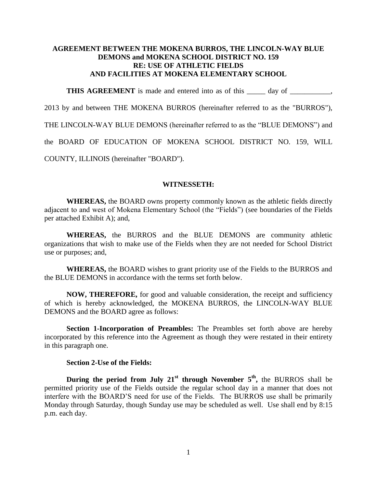## **AGREEMENT BETWEEN THE MOKENA BURROS, THE LINCOLN-WAY BLUE DEMONS and MOKENA SCHOOL DISTRICT NO. 159 RE: USE OF ATHLETIC FIELDS AND FACILITIES AT MOKENA ELEMENTARY SCHOOL**

**THIS AGREEMENT** is made and entered into as of this \_\_\_\_\_ day of \_\_\_\_\_\_\_\_,

2013 by and between THE MOKENA BURROS (hereinafter referred to as the "BURROS"),

THE LINCOLN-WAY BLUE DEMONS (hereinafter referred to as the "BLUE DEMONS") and

the BOARD OF EDUCATION OF MOKENA SCHOOL DISTRICT NO. 159, WILL

COUNTY, ILLINOIS (hereinafter "BOARD").

## **WITNESSETH:**

**WHEREAS,** the BOARD owns property commonly known as the athletic fields directly adjacent to and west of Mokena Elementary School (the "Fields") (see boundaries of the Fields per attached Exhibit A); and,

**WHEREAS,** the BURROS and the BLUE DEMONS are community athletic organizations that wish to make use of the Fields when they are not needed for School District use or purposes; and,

**WHEREAS,** the BOARD wishes to grant priority use of the Fields to the BURROS and the BLUE DEMONS in accordance with the terms set forth below.

**NOW, THEREFORE,** for good and valuable consideration, the receipt and sufficiency of which is hereby acknowledged, the MOKENA BURROS, the LINCOLN-WAY BLUE DEMONS and the BOARD agree as follows:

**Section 1-Incorporation of Preambles:** The Preambles set forth above are hereby incorporated by this reference into the Agreement as though they were restated in their entirety in this paragraph one.

## **Section 2-Use of the Fields:**

**During the period from July 21st through November 5th ,** the BURROS shall be permitted priority use of the Fields outside the regular school day in a manner that does not interfere with the BOARD'S need for use of the Fields. The BURROS use shall be primarily Monday through Saturday, though Sunday use may be scheduled as well. Use shall end by 8:15 p.m. each day.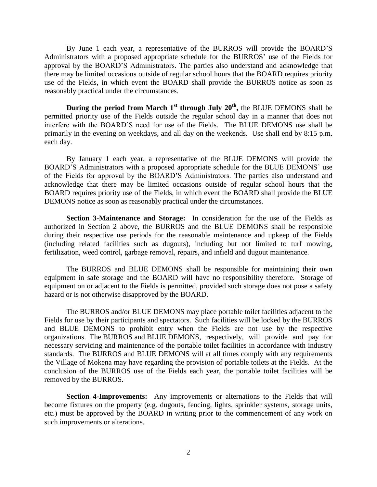By June 1 each year, a representative of the BURROS will provide the BOARD'S Administrators with a proposed appropriate schedule for the BURROS' use of the Fields for approval by the BOARD'S Administrators. The parties also understand and acknowledge that there may be limited occasions outside of regular school hours that the BOARD requires priority use of the Fields, in which event the BOARD shall provide the BURROS notice as soon as reasonably practical under the circumstances.

**During the period from March 1st through July 20th ,** the BLUE DEMONS shall be permitted priority use of the Fields outside the regular school day in a manner that does not interfere with the BOARD'S need for use of the Fields. The BLUE DEMONS use shall be primarily in the evening on weekdays, and all day on the weekends. Use shall end by 8:15 p.m. each day.

By January 1 each year, a representative of the BLUE DEMONS will provide the BOARD'S Administrators with a proposed appropriate schedule for the BLUE DEMONS' use of the Fields for approval by the BOARD'S Administrators. The parties also understand and acknowledge that there may be limited occasions outside of regular school hours that the BOARD requires priority use of the Fields, in which event the BOARD shall provide the BLUE DEMONS notice as soon as reasonably practical under the circumstances.

**Section 3-Maintenance and Storage:** In consideration for the use of the Fields as authorized in Section 2 above, the BURROS and the BLUE DEMONS shall be responsible during their respective use periods for the reasonable maintenance and upkeep of the Fields (including related facilities such as dugouts), including but not limited to turf mowing, fertilization, weed control, garbage removal, repairs, and infield and dugout maintenance.

The BURROS and BLUE DEMONS shall be responsible for maintaining their own equipment in safe storage and the BOARD will have no responsibility therefore. Storage of equipment on or adjacent to the Fields is permitted, provided such storage does not pose a safety hazard or is not otherwise disapproved by the BOARD.

The BURROS and/or BLUE DEMONS may place portable toilet facilities adjacent to the Fields for use by their participants and spectators. Such facilities will be locked by the BURROS and BLUE DEMONS to prohibit entry when the Fields are not use by the respective organizations. The BURROS and BLUE DEMONS, respectively, will provide and pay for necessary servicing and maintenance of the portable toilet facilities in accordance with industry standards. The BURROS and BLUE DEMONS will at all times comply with any requirements the Village of Mokena may have regarding the provision of portable toilets at the Fields. At the conclusion of the BURROS use of the Fields each year, the portable toilet facilities will be removed by the BURROS.

**Section 4-Improvements:** Any improvements or alternations to the Fields that will become fixtures on the property (e.g. dugouts, fencing, lights, sprinkler systems, storage units, etc.) must be approved by the BOARD in writing prior to the commencement of any work on such improvements or alterations.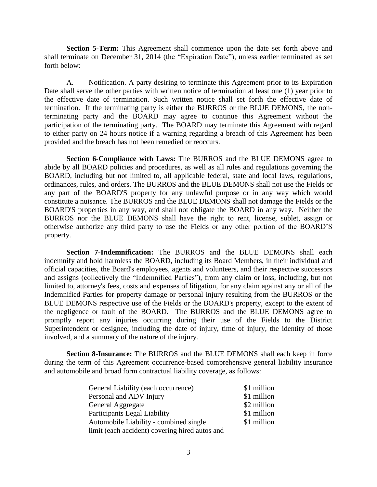**Section 5-Term:** This Agreement shall commence upon the date set forth above and shall terminate on December 31, 2014 (the "Expiration Date"), unless earlier terminated as set forth below:

A. Notification. A party desiring to terminate this Agreement prior to its Expiration Date shall serve the other parties with written notice of termination at least one (1) year prior to the effective date of termination. Such written notice shall set forth the effective date of termination. If the terminating party is either the BURROS or the BLUE DEMONS, the nonterminating party and the BOARD may agree to continue this Agreement without the participation of the terminating party. The BOARD may terminate this Agreement with regard to either party on 24 hours notice if a warning regarding a breach of this Agreement has been provided and the breach has not been remedied or reoccurs.

**Section 6-Compliance with Laws:** The BURROS and the BLUE DEMONS agree to abide by all BOARD policies and procedures, as well as all rules and regulations governing the BOARD, including but not limited to, all applicable federal, state and local laws, regulations, ordinances, rules, and orders. The BURROS and the BLUE DEMONS shall not use the Fields or any part of the BOARD'S property for any unlawful purpose or in any way which would constitute a nuisance. The BURROS and the BLUE DEMONS shall not damage the Fields or the BOARD'S properties in any way, and shall not obligate the BOARD in any way. Neither the BURROS nor the BLUE DEMONS shall have the right to rent, license, sublet, assign or otherwise authorize any third party to use the Fields or any other portion of the BOARD'S property.

**Section 7-Indemnification:** The BURROS and the BLUE DEMONS shall each indemnify and hold harmless the BOARD, including its Board Members, in their individual and official capacities, the Board's employees, agents and volunteers, and their respective successors and assigns (collectively the "Indemnified Parties"), from any claim or loss, including, but not limited to, attorney's fees, costs and expenses of litigation, for any claim against any or all of the Indemnified Parties for property damage or personal injury resulting from the BURROS or the BLUE DEMONS respective use of the Fields or the BOARD's property, except to the extent of the negligence or fault of the BOARD. The BURROS and the BLUE DEMONS agree to promptly report any injuries occurring during their use of the Fields to the District Superintendent or designee, including the date of injury, time of injury, the identity of those involved, and a summary of the nature of the injury.

**Section 8-Insurance:** The BURROS and the BLUE DEMONS shall each keep in force during the term of this Agreement occurrence-based comprehensive general liability insurance and automobile and broad form contractual liability coverage, as follows:

| General Liability (each occurrence)            | \$1 million |
|------------------------------------------------|-------------|
| Personal and ADV Injury                        | \$1 million |
| General Aggregate                              | \$2 million |
| <b>Participants Legal Liability</b>            | \$1 million |
| Automobile Liability - combined single         | \$1 million |
| limit (each accident) covering hired autos and |             |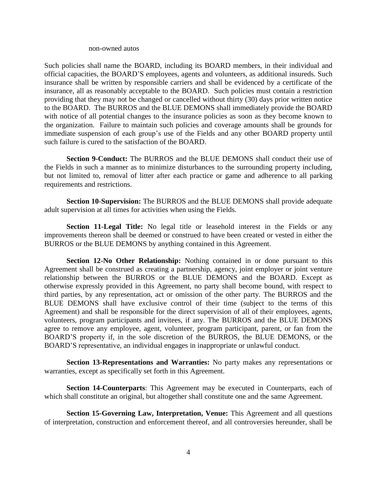## non-owned autos

Such policies shall name the BOARD, including its BOARD members, in their individual and official capacities, the BOARD'S employees, agents and volunteers, as additional insureds. Such insurance shall be written by responsible carriers and shall be evidenced by a certificate of the insurance, all as reasonably acceptable to the BOARD. Such policies must contain a restriction providing that they may not be changed or cancelled without thirty (30) days prior written notice to the BOARD. The BURROS and the BLUE DEMONS shall immediately provide the BOARD with notice of all potential changes to the insurance policies as soon as they become known to the organization. Failure to maintain such policies and coverage amounts shall be grounds for immediate suspension of each group's use of the Fields and any other BOARD property until such failure is cured to the satisfaction of the BOARD.

**Section 9-Conduct:** The BURROS and the BLUE DEMONS shall conduct their use of the Fields in such a manner as to minimize disturbances to the surrounding property including, but not limited to, removal of litter after each practice or game and adherence to all parking requirements and restrictions.

**Section 10**-**Supervision:** The BURROS and the BLUE DEMONS shall provide adequate adult supervision at all times for activities when using the Fields.

**Section 11-Legal Title:** No legal title or leasehold interest in the Fields or any improvements thereon shall be deemed or construed to have been created or vested in either the BURROS or the BLUE DEMONS by anything contained in this Agreement.

**Section 12-No Other Relationship:** Nothing contained in or done pursuant to this Agreement shall be construed as creating a partnership, agency, joint employer or joint venture relationship between the BURROS or the BLUE DEMONS and the BOARD. Except as otherwise expressly provided in this Agreement, no party shall become bound, with respect to third parties, by any representation, act or omission of the other party. The BURROS and the BLUE DEMONS shall have exclusive control of their time (subject to the terms of this Agreement) and shall be responsible for the direct supervision of all of their employees, agents, volunteers, program participants and invitees, if any. The BURROS and the BLUE DEMONS agree to remove any employee, agent, volunteer, program participant, parent, or fan from the BOARD'S property if, in the sole discretion of the BURROS, the BLUE DEMONS, or the BOARD'S representative, an individual engages in inappropriate or unlawful conduct.

**Section 13-Representations and Warranties:** No party makes any representations or warranties, except as specifically set forth in this Agreement.

**Section 14-Counterparts**: This Agreement may be executed in Counterparts, each of which shall constitute an original, but altogether shall constitute one and the same Agreement.

**Section 15-Governing Law, Interpretation, Venue:** This Agreement and all questions of interpretation, construction and enforcement thereof, and all controversies hereunder, shall be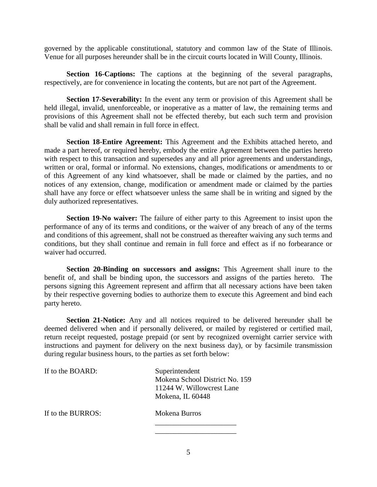governed by the applicable constitutional, statutory and common law of the State of Illinois. Venue for all purposes hereunder shall be in the circuit courts located in Will County, Illinois.

**Section 16-Captions:** The captions at the beginning of the several paragraphs, respectively, are for convenience in locating the contents, but are not part of the Agreement.

**Section 17-Severability:** In the event any term or provision of this Agreement shall be held illegal, invalid, unenforceable, or inoperative as a matter of law, the remaining terms and provisions of this Agreement shall not be effected thereby, but each such term and provision shall be valid and shall remain in full force in effect.

**Section 18-Entire Agreement:** This Agreement and the Exhibits attached hereto, and made a part hereof, or required hereby, embody the entire Agreement between the parties hereto with respect to this transaction and supersedes any and all prior agreements and understandings, written or oral, formal or informal. No extensions, changes, modifications or amendments to or of this Agreement of any kind whatsoever, shall be made or claimed by the parties, and no notices of any extension, change, modification or amendment made or claimed by the parties shall have any force or effect whatsoever unless the same shall be in writing and signed by the duly authorized representatives.

**Section 19-No waiver:** The failure of either party to this Agreement to insist upon the performance of any of its terms and conditions, or the waiver of any breach of any of the terms and conditions of this agreement, shall not be construed as thereafter waiving any such terms and conditions, but they shall continue and remain in full force and effect as if no forbearance or waiver had occurred.

**Section 20-Binding on successors and assigns:** This Agreement shall inure to the benefit of, and shall be binding upon, the successors and assigns of the parties hereto. The persons signing this Agreement represent and affirm that all necessary actions have been taken by their respective governing bodies to authorize them to execute this Agreement and bind each party hereto.

**Section 21-Notice:** Any and all notices required to be delivered hereunder shall be deemed delivered when and if personally delivered, or mailed by registered or certified mail, return receipt requested, postage prepaid (or sent by recognized overnight carrier service with instructions and payment for delivery on the next business day), or by facsimile transmission during regular business hours, to the parties as set forth below:

| If to the BOARD:  | Superintendent<br>Mokena School District No. 159<br>11244 W. Willowcrest Lane<br>Mokena, IL 60448 |
|-------------------|---------------------------------------------------------------------------------------------------|
| If to the BURROS: | Mokena Burros                                                                                     |
|                   |                                                                                                   |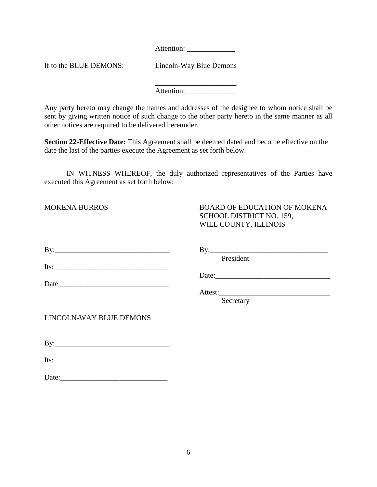Attention:

If to the BLUE DEMONS: Lincoln-Way Blue Demons

\_\_\_\_\_\_\_\_\_\_\_\_\_\_\_\_\_\_\_\_\_\_ Attention:

Any party hereto may change the names and addresses of the designee to whom notice shall be sent by giving written notice of such change to the other party hereto in the same manner as all other notices are required to be delivered hereunder.

**Section 22-Effective Date:** This Agreement shall be deemed dated and become effective on the date the last of the parties execute the Agreement as set forth below.

IN WITNESS WHEREOF, the duly authorized representatives of the Parties have executed this Agreement as set forth below:

| <b>MOKENA BURROS</b>    | <b>BOARD OF EDUCATION OF MOKENA</b><br>SCHOOL DISTRICT NO. 159,<br>WILL COUNTY, ILLINOIS |
|-------------------------|------------------------------------------------------------------------------------------|
|                         | President                                                                                |
|                         |                                                                                          |
|                         |                                                                                          |
|                         | Secretary                                                                                |
| LINCOLN-WAY BLUE DEMONS |                                                                                          |
|                         |                                                                                          |
| $Its:\_$                |                                                                                          |
| Date:                   |                                                                                          |